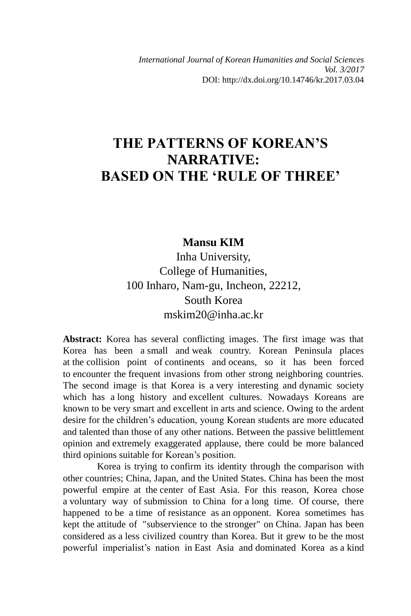*International Journal of Korean Humanities and Social Sciences Vol. 3/2017* DOI: http://dx.doi.org/10.14746/kr.2017.03.04

# **THE PATTERNS OF KOREAN'S NARRATIVE: BASED ON THE 'RULE OF THREE'**

#### **Mansu KIM**

Inha University, College of Humanities, 100 Inharo, Nam-gu, Incheon, 22212, South Korea mskim20@inha.ac.kr

**Abstract:** Korea has several conflicting images. The first image was that Korea has been a small and weak country. Korean Peninsula places at the collision point of continents and oceans, so it has been forced to encounter the frequent invasions from other strong neighboring countries. The second image is that Korea is a very interesting and dynamic society which has a long history and excellent cultures. Nowadays Koreans are known to be very smart and excellent in arts and science. Owing to the ardent desire for the children's education, young Korean students are more educated and talented than those of any other nations. Between the passive belittlement opinion and extremely exaggerated applause, there could be more balanced third opinions suitable for Korean's position.

Korea is trying to confirm its identity through the comparison with other countries; China, Japan, and the United States. China has been the most powerful empire at the center of East Asia. For this reason, Korea chose a voluntary way of submission to China for a long time. Of course, there happened to be a time of resistance as an opponent. Korea sometimes has kept the attitude of "subservience to the stronger" on China. Japan has been considered as a less civilized country than Korea. But it grew to be the most powerful imperialist's nation in East Asia and dominated Korea as a kind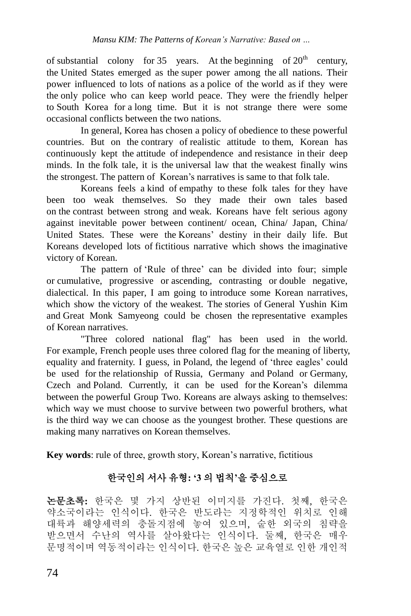of substantial colony for 35 years. At the beginning of  $20<sup>th</sup>$  century, the United States emerged as the super power among the all nations. Their power influenced to lots of nations as a police of the world as if they were the only police who can keep world peace. They were the friendly helper to South Korea for a long time. But it is not strange there were some occasional conflicts between the two nations.

In general, Korea has chosen a policy of obedience to these powerful countries. But on the contrary of realistic attitude to them, Korean has continuously kept the attitude of independence and resistance in their deep minds. In the folk tale, it is the universal law that the weakest finally wins the strongest. The pattern of Korean's narratives is same to that folk tale.

Koreans feels a kind of empathy to these folk tales for they have been too weak themselves. So they made their own tales based on the contrast between strong and weak. Koreans have felt serious agony against inevitable power between continent/ ocean, China/ Japan, China/ United States. These were the Koreans' destiny in their daily life. But Koreans developed lots of fictitious narrative which shows the imaginative victory of Korean.

The pattern of 'Rule of three' can be divided into four; simple or cumulative, progressive or ascending, contrasting or double negative, dialectical. In this paper, I am going to introduce some Korean narratives, which show the victory of the weakest. The stories of General Yushin Kim and Great Monk Samyeong could be chosen the representative examples of Korean narratives.

"Three colored national flag" has been used in the world. For example, French people uses three colored flag for the meaning of liberty, equality and fraternity. I guess, in Poland, the legend of 'three eagles' could be used for the relationship of Russia, Germany and Poland or Germany, Czech and Poland. Currently, it can be used for the Korean's dilemma between the powerful Group Two. Koreans are always asking to themselves: which way we must choose to survive between two powerful brothers, what is the third way we can choose as the youngest brother. These questions are making many narratives on Korean themselves.

**Key words**: rule of three, growth story, Korean's narrative, fictitious

## 한국인의 서사 유형**: '3** 의 법칙**'**을 중심으로

논문초록**:** 한국은 몇 가지 상반된 이미지를 가진다. 첫째, 한국은 약소국이라는 인식이다. 한국은 반도라는 지정학적인 위치로 인해 대륙과 해양세력의 충돌지점에 놓여 있으며, 숱한 외국의 침략을 받으면서 수난의 역사를 살아왔다는 인식이다. 둘째, 한국은 매우 문명적이며 역동적이라는 인식이다. 한국은 높은 교육열로 인한 개인적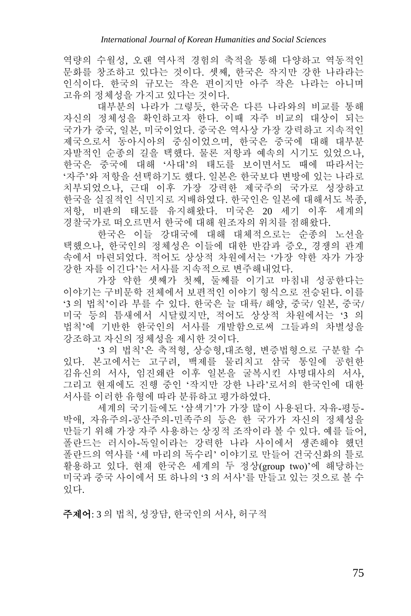역량의 수월성, 오랜 역사적 경험의 축적을 통해 다양하고 역동적인 문화를 창조하고 있다는 것이다. 셋째, 한국은 작지만 강한 나라라는 인식이다. 한국의 규모는 작은 편이지만 아주 작은 나라는 아니며 고유의 정체성을 가지고 있다는 것이다.

대부분의 나라가 그렇듯, 한국은 다른 나라와의 비교를 통해 자신의 정체성을 확인하고자 한다. 이때 자주 비교의 대상이 되는 국가가 중국, 일본, 미국이었다. 중국은 역사상 가장 강력하고 지속적인 제국으로서 동아시아의 중심이었으며, 한국은 중국에 대해 대부분 자발적인 순종의 길을 택했다. 물론 저항과 예속의 시기도 있었으나, 한국은 중국에 대해 '사대'의 태도를 보이면서도 때에 따라서는 '자주'와 저항을 선택하기도 했다. 일본은 한국보다 변방에 있는 나라로 치부되었으나, 근대 이후 가장 강력한 제국주의 국가로 성장하고 한국을 실질적인 식민지로 지배하였다. 한국인은 일본에 대해서도 복종, 저항, 비판의 태도를 유지해왔다. 미국은 20 세기 이후 세계의 경찰국가로 떠오르면서 한국에 대해 원조자의 위치를 점해왔다.

한국은 이들 강대국에 대해 대체적으로는 순종의 노선을 택했으나, 한국인의 정체성은 이들에 대한 반감과 증오, 경쟁의 관계 속에서 마련되었다. 적어도 상상적 차원에서는 '가장 약한 자가 가장 강한 자를 이긴다'는 서사를 지속적으로 변주해내었다.

가장 약한 셋째가 첫째, 둘째를 이기고 마침내 성공한다는 이야기는 구비문학 전체에서 보편적인 이야기 형식으로 전승된다. 이를 '3 의 법칙'이라 부를 수 있다. 한국은 늘 대륙/ 해양, 중국/ 일본, 중국/ 미국 등의 틈새에서 시달렸지만, 적어도 상상적 차원에서는 '3 의 법칙'에 기반한 한국인의 서사를 개발함으로써 그들과의 차별성을 강조하고 자신의 정체성을 제시한 것이다.

'3 의 법칙'은 축적형, 상승형,대조형, 변증법형으로 구분할 수 있다. 본고에서는 고구려, 백제를 물리치고 삼국 통일에 공헌한 김유신의 서사, 임진왜란 이후 일본을 굴복시킨 사명대사의 서사, 그리고 현재에도 진행 중인 '작지만 강한 나라'로서의 한국인에 대한 서사를 이러한 유형에 따라 분류하고 평가하였다.

세계의 국기들에도 '삼색기'가 가장 많이 사용된다. 자유-평등-박애, 자유주의-공산주의-민족주의 등은 한 국가가 자신의 정체성을 만들기 위해 가장 자주 사용하는 상징적 조작이라 볼 수 있다. 예를 들어, 폴란드는 러시아-독일이라는 강력한 나라 사이에서 생존해야 했던 폴란드의 역사를 '세 마리의 독수리' 이야기로 만들어 건국신화의 틀로 활용하고 있다. 현재 한국은 세계의 두 정상(group two)'에 해당하는 미국과 중국 사이에서 또 하나의 '3 의 서사'를 만들고 있는 것으로 볼 수 있다.

주제어: 3 의 법칙, 성장담, 한국인의 서사, 허구적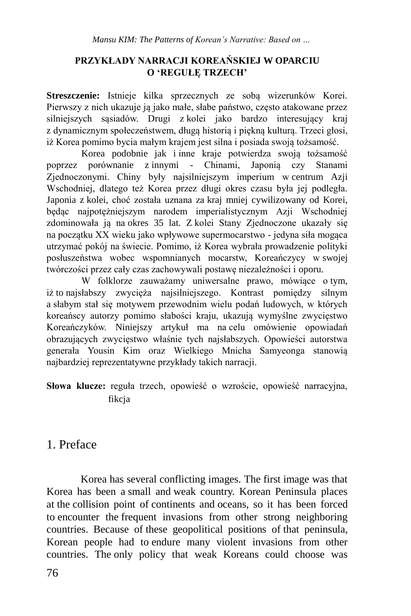### **PRZYKŁADY NARRACJI KOREAŃSKIEJ W OPARCIU O 'REGUŁĘ TRZECH'**

**Streszczenie:** Istnieje kilka sprzecznych ze sobą wizerunków Korei. Pierwszy z nich ukazuje ją jako małe, słabe państwo, często atakowane przez silniejszych sąsiadów. Drugi z kolei jako bardzo interesujący kraj z dynamicznym społeczeństwem, długą historią i piękną kulturą. Trzeci głosi, iż Korea pomimo bycia małym krajem jest silna i posiada swoją tożsamość.

Korea podobnie jak i inne kraje potwierdza swoją tożsamość poprzez porównanie z innymi - Chinami, Japonią czy Stanami Zjednoczonymi. Chiny były najsilniejszym imperium w centrum Azji Wschodniej, dlatego też Korea przez długi okres czasu była jej podległa. Japonia z kolei, choć została uznana za kraj mniej cywilizowany od Korei, będąc najpotężniejszym narodem imperialistycznym Azji Wschodniej zdominowała ją na okres 35 lat. Z kolei Stany Zjednoczone ukazały się na początku XX wieku jako wpływowe supermocarstwo - jedyna siła mogąca utrzymać pokój na świecie. Pomimo, iż Korea wybrała prowadzenie polityki posłuszeństwa wobec wspomnianych mocarstw, Koreańczycy w swojej twórczości przez cały czas zachowywali postawę niezależności i oporu.

W folklorze zauważamy uniwersalne prawo, mówiące o tym, iż to najsłabszy zwycięża najsilniejszego. Kontrast pomiędzy silnym a słabym stał się motywem przewodnim wielu podań ludowych, w których koreańscy autorzy pomimo słabości kraju, ukazują wymyślne zwycięstwo Koreańczyków. Niniejszy artykuł ma na celu omówienie opowiadań obrazujących zwycięstwo właśnie tych najsłabszych. Opowieści autorstwa generała Yousin Kim oraz Wielkiego Mnicha Samyeonga stanowią najbardziej reprezentatywne przykłady takich narracji.

**Słowa klucze:** reguła trzech, opowieść o wzroście, opowieść narracyjna, fikcia

## 1. Preface

Korea has several conflicting images. The first image was that Korea has been a small and weak country. Korean Peninsula places at the collision point of continents and oceans, so it has been forced to encounter the frequent invasions from other strong neighboring countries. Because of these geopolitical positions of that peninsula, Korean people had to endure many violent invasions from other countries. The only policy that weak Koreans could choose was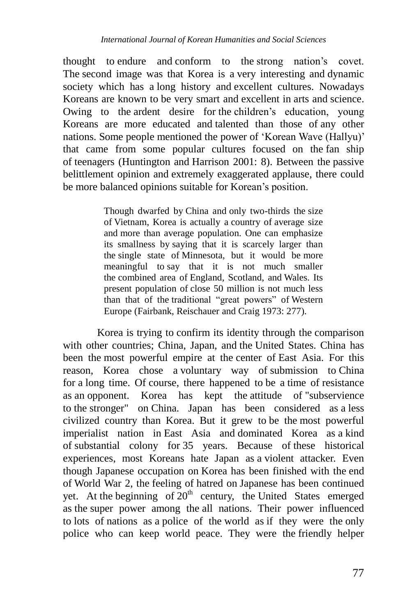thought to endure and conform to the strong nation's covet. The second image was that Korea is a very interesting and dynamic society which has a long history and excellent cultures. Nowadays Koreans are known to be very smart and excellent in arts and science. Owing to the ardent desire for the children's education, young Koreans are more educated and talented than those of any other nations. Some people mentioned the power of 'Korean Wave (Hallyu)' that came from some popular cultures focused on the fan ship of teenagers (Huntington and Harrison 2001: 8). Between the passive belittlement opinion and extremely exaggerated applause, there could be more balanced opinions suitable for Korean's position.

> Though dwarfed by China and only two-thirds the size of Vietnam, Korea is actually a country of average size and more than average population. One can emphasize its smallness by saying that it is scarcely larger than the single state of Minnesota, but it would be more meaningful to say that it is not much smaller the combined area of England, Scotland, and Wales. Its present population of close 50 million is not much less than that of the traditional "great powers" of Western Europe (Fairbank, Reischauer and Craig 1973: 277).

Korea is trying to confirm its identity through the comparison with other countries; China, Japan, and the United States. China has been the most powerful empire at the center of East Asia. For this reason, Korea chose a voluntary way of submission to China for a long time. Of course, there happened to be a time of resistance as an opponent. Korea has kept the attitude of "subservience to the stronger" on China. Japan has been considered as a less civilized country than Korea. But it grew to be the most powerful imperialist nation in East Asia and dominated Korea as a kind of substantial colony for 35 years. Because of these historical experiences, most Koreans hate Japan as a violent attacker. Even though Japanese occupation on Korea has been finished with the end of World War 2, the feeling of hatred on Japanese has been continued yet. At the beginning of  $20<sup>th</sup>$  century, the United States emerged as the super power among the all nations. Their power influenced to lots of nations as a police of the world as if they were the only police who can keep world peace. They were the friendly helper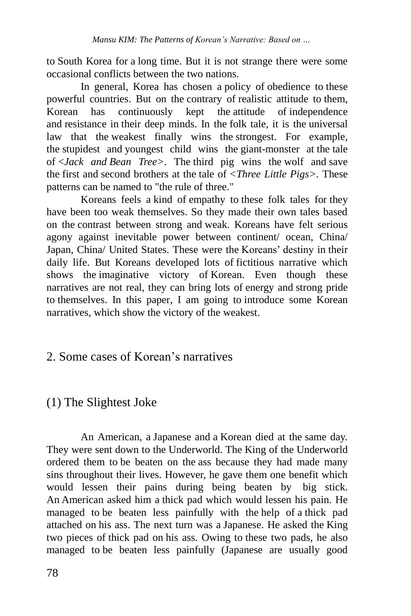to South Korea for a long time. But it is not strange there were some occasional conflicts between the two nations.

In general, Korea has chosen a policy of obedience to these powerful countries. But on the contrary of realistic attitude to them, Korean has continuously kept the attitude of independence and resistance in their deep minds. In the folk tale, it is the universal law that the weakest finally wins the strongest. For example, the stupidest and youngest child wins the giant-monster at the tale of <*Jack and Bean Tree>*. The third pig wins the wolf and save the first and second brothers at the tale of *<Three Little Pigs>.* These patterns can be named to "the rule of three."

Koreans feels a kind of empathy to these folk tales for they have been too weak themselves. So they made their own tales based on the contrast between strong and weak. Koreans have felt serious agony against inevitable power between continent/ ocean, China/ Japan, China/ United States. These were the Koreans' destiny in their daily life. But Koreans developed lots of fictitious narrative which shows the imaginative victory of Korean. Even though these narratives are not real, they can bring lots of energy and strong pride to themselves. In this paper, I am going to introduce some Korean narratives, which show the victory of the weakest.

## 2. Some cases of Korean's narratives

## (1) The Slightest Joke

An American, a Japanese and a Korean died at the same day. They were sent down to the Underworld. The King of the Underworld ordered them to be beaten on the ass because they had made many sins throughout their lives. However, he gave them one benefit which would lessen their pains during being beaten by big stick. An American asked him a thick pad which would lessen his pain. He managed to be beaten less painfully with the help of a thick pad attached on his ass. The next turn was a Japanese. He asked the King two pieces of thick pad on his ass. Owing to these two pads, he also managed to be beaten less painfully (Japanese are usually good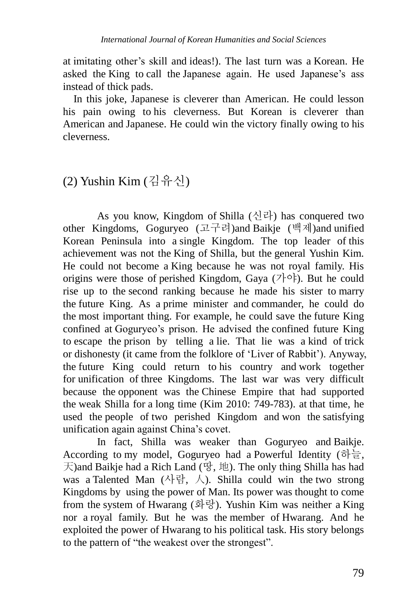at imitating other's skill and ideas!). The last turn was a Korean. He asked the King to call the Japanese again. He used Japanese's ass instead of thick pads.

In this joke, Japanese is cleverer than American. He could lesson his pain owing to his cleverness. But Korean is cleverer than American and Japanese. He could win the victory finally owing to his cleverness.

## (2) Yushin Kim (김유신)

As you know, Kingdom of Shilla  $(\lambda \vec{v})$  has conquered two other Kingdoms, Goguryeo (고구려)and Baikje (백제)and unified Korean Peninsula into a single Kingdom. The top leader of this achievement was not the King of Shilla, but the general Yushin Kim. He could not become a King because he was not royal family. His origins were those of perished Kingdom, Gaya  $(7\uparrow \circ \uparrow)$ . But he could rise up to the second ranking because he made his sister to marry the future King. As a prime minister and commander, he could do the most important thing. For example, he could save the future King confined at Goguryeo's prison. He advised the confined future King to escape the prison by telling a lie. That lie was a kind of trick or dishonesty (it came from the folklore of 'Liver of Rabbit'). Anyway, the future King could return to his country and work together for unification of three Kingdoms. The last war was very difficult because the opponent was the Chinese Empire that had supported the weak Shilla for a long time (Kim 2010: 749-783). at that time, he used the people of two perished Kingdom and won the satisfying unification again against China's covet.

In fact, Shilla was weaker than Goguryeo and Baikje. According to my model, Goguryeo had a Powerful Identity (하늘,  $\pm$ )and Baikje had a Rich Land (땅, 地). The only thing Shilla has had was a Talented Man (사람, 人). Shilla could win the two strong Kingdoms by using the power of Man. Its power was thought to come from the system of Hwarang (화랑). Yushin Kim was neither a King nor a royal family. But he was the member of Hwarang. And he exploited the power of Hwarang to his political task. His story belongs to the pattern of "the weakest over the strongest".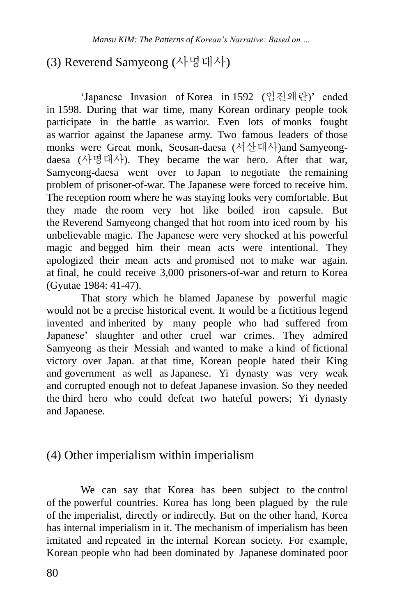# (3) Reverend Samyeong (사명대사)

'Japanese Invasion of Korea in 1592 (임진왜란)' ended in 1598. During that war time, many Korean ordinary people took participate in the battle as warrior. Even lots of monks fought as warrior against the Japanese army. Two famous leaders of those monks were Great monk, Seosan-daesa (서산대사)and Samyeongdaesa (사명대사). They became the war hero. After that war, Samyeong-daesa went over to Japan to negotiate the remaining problem of prisoner-of-war. The Japanese were forced to receive him. The reception room where he was staying looks very comfortable. But they made the room very hot like boiled iron capsule. But the Reverend Samyeong changed that hot room into iced room by his unbelievable magic. The Japanese were very shocked at his powerful magic and begged him their [mean](http://endic.naver.com/search.nhn?query=mean) [acts](http://endic.naver.com/search.nhn?query=bastard) were intentional. They apologized their mean acts and promised not to make war again. at final, he could receive 3,000 prisoners-of-war and return to Korea (Gyutae 1984: 41-47).

That story which he blamed Japanese by powerful magic would not be a precise historical event. It would be a fictitious legend invented and inherited by many people who had suffered from Japanese' slaughter and other cruel war crimes. They admired Samyeong as their Messiah and wanted to make a kind of fictional victory over Japan. at that time, Korean people hated their King and government as well as Japanese. Yi dynasty was very weak and corrupted enough not to defeat Japanese invasion. So they needed the third hero who could defeat two hateful powers; Yi dynasty and Japanese.

## (4) Other imperialism within imperialism

We can say that Korea has been subject to the control of the powerful countries. Korea has long been plagued by the rule of the imperialist, directly or indirectly. But on the other hand, Korea has internal imperialism in it. The mechanism of imperialism has been imitated and repeated in the internal Korean society. For example, Korean people who had been dominated by Japanese dominated poor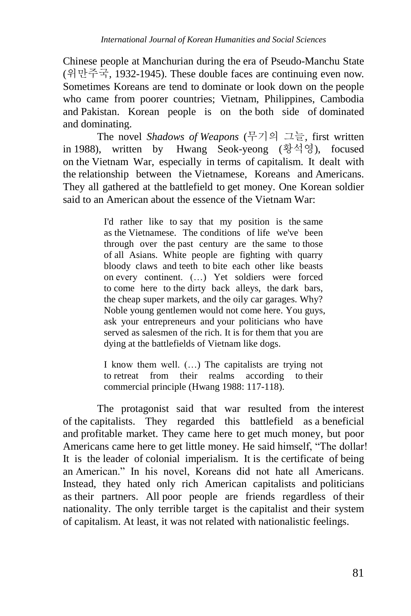Chinese people at Manchurian during the era of Pseudo-Manchu State (위만주국, 1932-1945). These double faces are continuing even now. Sometimes Koreans are tend to dominate or look down on the people who came from poorer countries; Vietnam, Philippines, Cambodia and Pakistan. Korean people is on the both side of dominated and dominating.

The novel *Shadows of Weapons* (무기의 그늘, first written in 1988), written by Hwang Seok-yeong (황석영), focused on the Vietnam War, especially in terms of capitalism. It dealt with the relationship between the Vietnamese, Koreans and Americans. They all gathered at the battlefield to get money. One Korean soldier said to an American about the essence of the Vietnam War:

> I'd rather like to say that my position is the same as the Vietnamese. The conditions of life we've been through over the past century are the same to those of all Asians. White people are fighting with quarry bloody claws and teeth to bite each other like beasts on every continent. (…) Yet soldiers were forced to come here to the dirty back alleys, the dark bars, the cheap super markets, and the oily car garages. Why? Noble young gentlemen would not come here. You guys, ask your entrepreneurs and your politicians who have served as salesmen of the rich. It is for them that you are dying at the battlefields of Vietnam like dogs.

> I know them well. (…) The capitalists are trying not to retreat from their realms according to their commercial principle (Hwang 1988: 117-118).

The protagonist said that war resulted from the interest of the capitalists. They regarded this battlefield as a beneficial and profitable market. They came here to get much money, but poor Americans came here to get little money. He said himself, "The dollar! It is the leader of colonial imperialism. It is the certificate of being an American." In his novel, Koreans did not hate all Americans. Instead, they hated only rich American capitalists and politicians as their partners. All poor people are friends regardless of their nationality. The only terrible target is the capitalist and their system of capitalism. At least, it was not related with nationalistic feelings.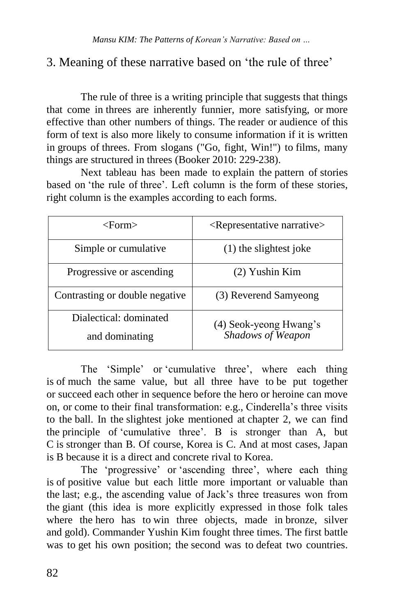## 3. Meaning of these narrative based on 'the rule of three'

The rule of three is a writing principle that suggests that things that come in threes are inherently funnier, more satisfying, or more effective than other numbers of things. The reader or audience of this form of text is also more likely to consume information if it is written in groups of threes. From slogans ("Go, fight, Win!") to films, many things are structured in threes (Booker 2010: 229-238).

Next tableau has been made to explain the pattern of stories based on 'the rule of three'. Left column is the form of these stories, right column is the examples according to each forms.

| <form></form>                            | <representative narrative=""></representative> |
|------------------------------------------|------------------------------------------------|
| Simple or cumulative.                    | (1) the slightest joke                         |
| Progressive or ascending                 | $(2)$ Yushin Kim                               |
| Contrasting or double negative           | (3) Reverend Samyeong                          |
| Dialectical: dominated<br>and dominating | (4) Seok-yeong Hwang's<br>Shadows of Weapon    |

The 'Simple' or 'cumulative three', where each thing is of much the same value, but all three have to be put together or succeed each other in sequence before the hero or heroine can move on, or come to their final transformation: e.g., Cinderella's three visits to the ball. In the slightest joke mentioned at chapter 2, we can find the principle of 'cumulative three'. B is stronger than A, but C is stronger than B. Of course, Korea is C. And at most cases, Japan is B because it is a direct and concrete rival to Korea.

The 'progressive' or 'ascending three', where each thing is of positive value but each little more important or valuable than the last; e.g., the ascending value of Jack's three treasures won from the giant (this idea is more explicitly expressed in those folk tales where the hero has to win three objects, made in bronze, silver and gold). Commander Yushin Kim fought three times. The first battle was to get his own position; the second was to defeat two countries.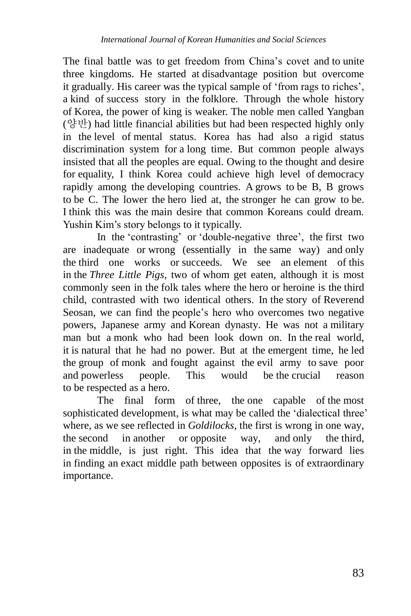The final battle was to get freedom from China's covet and to unite three kingdoms. He started at disadvantage position but overcome it gradually. His career was the typical sample of 'from rags to riches', a kind of success story in the folklore. Through the whole history of Korea, the power of king is weaker. The noble men called Yangban (양반) had little financial abilities but had been respected highly only in the level of mental status. Korea has had also a rigid status discrimination system for a long time. But common people always insisted that all the peoples are equal. Owing to the thought and desire for equality, I think Korea could achieve high level of democracy rapidly among the developing countries. A grows to be B, B grows to be C. The lower the hero lied at, the stronger he can grow to be. I think this was the main desire that common Koreans could dream. Yushin Kim's story belongs to it typically.

In the 'contrasting' or 'double-negative three', the first two are inadequate or wrong (essentially in the same way) and only the third one works or succeeds. We see an element of this in the *Three Little Pigs*, two of whom get eaten, although it is most commonly seen in the folk tales where the hero or heroine is the third child, contrasted with two identical others. In the story of Reverend Seosan, we can find the people's hero who overcomes two negative powers, Japanese army and Korean dynasty. He was not a military man but a monk who had been look down on. In the real world, it is natural that he had no power. But at the emergent time, he led the group of monk and fought against the evil army to save poor and powerless people. This would be the crucial reason to be respected as a hero.

The final form of three, the one capable of the most sophisticated development, is what may be called the 'dialectical three' where, as we see reflected in *Goldilocks*, the first is wrong in one way, the second in another or opposite way, and only the third, in the middle, is just right. This idea that the way forward lies in finding an exact middle path between opposites is of extraordinary importance.